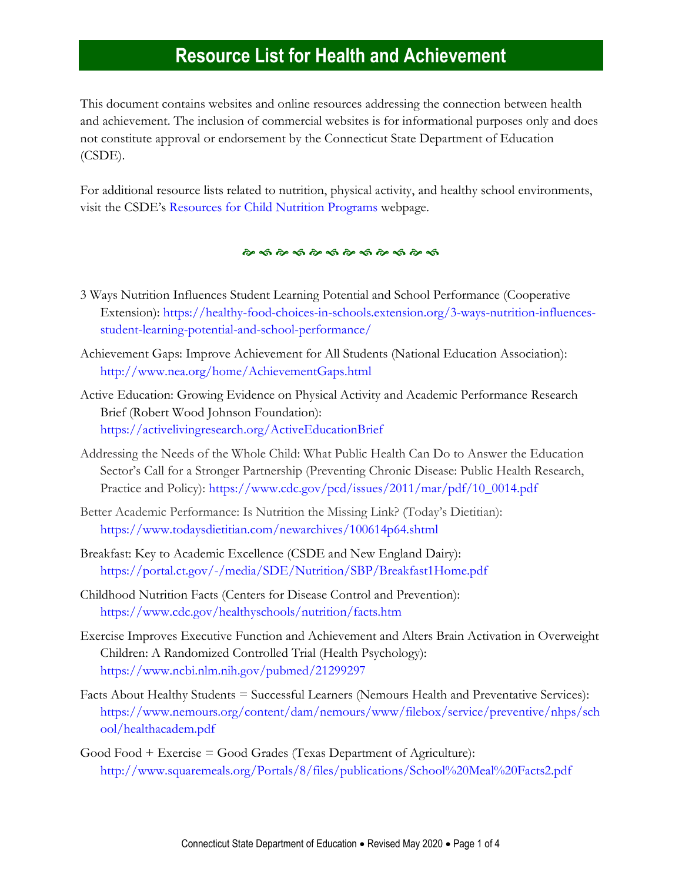This document contains websites and online resources addressing the connection between health and achievement. The inclusion of commercial websites is for informational purposes only and does not constitute approval or endorsement by the Connecticut State Department of Education (CSDE).

For additional resource lists related to nutrition, physical activity, and healthy school environments, visit the CSDE's [Resources for Child Nutrition Programs](http://www.sde.ct.gov/sde/cwp/view.asp?a=2626&q=336552) webpage.

#### 

- 3 Ways Nutrition Influences Student Learning Potential and School Performance (Cooperative Extension): [https://healthy-food-choices-in-schools.extension.org/3-ways-nutrition-influences](https://healthy-food-choices-in-schools.extension.org/3-ways-nutrition-influences-student-learning-potential-and-school-performance/)[student-learning-potential-and-school-performance/](https://healthy-food-choices-in-schools.extension.org/3-ways-nutrition-influences-student-learning-potential-and-school-performance/)
- Achievement Gaps: Improve Achievement for All Students (National Education Association): <http://www.nea.org/home/AchievementGaps.html>
- Active Education: Growing Evidence on Physical Activity and Academic Performance Research Brief (Robert Wood Johnson Foundation): <https://activelivingresearch.org/ActiveEducationBrief>
- Addressing the Needs of the Whole Child: What Public Health Can Do to Answer the Education Sector's Call for a Stronger Partnership (Preventing Chronic Disease: Public Health Research, Practice and Policy): [https://www.cdc.gov/pcd/issues/2011/mar/pdf/10\\_0014.pdf](https://www.cdc.gov/pcd/issues/2011/mar/pdf/10_0014.pdf)
- Better Academic Performance: Is Nutrition the Missing Link? (Today's Dietitian): <https://www.todaysdietitian.com/newarchives/100614p64.shtml>
- Breakfast: Key to Academic Excellence (CSDE and New England Dairy): <https://portal.ct.gov/-/media/SDE/Nutrition/SBP/Breakfast1Home.pdf>
- Childhood Nutrition Facts (Centers for Disease Control and Prevention): <https://www.cdc.gov/healthyschools/nutrition/facts.htm>
- Exercise Improves Executive Function and Achievement and Alters Brain Activation in Overweight Children: A Randomized Controlled Trial (Health Psychology): <https://www.ncbi.nlm.nih.gov/pubmed/21299297>
- Facts About Healthy Students = Successful Learners (Nemours Health and Preventative Services): [https://www.nemours.org/content/dam/nemours/www/filebox/service/preventive/nhps/sch](https://www.nemours.org/content/dam/nemours/www/filebox/service/preventive/nhps/school/healthacadem.pdf) [ool/healthacadem.pdf](https://www.nemours.org/content/dam/nemours/www/filebox/service/preventive/nhps/school/healthacadem.pdf)
- Good Food + Exercise = Good Grades (Texas Department of Agriculture): <http://www.squaremeals.org/Portals/8/files/publications/School%20Meal%20Facts2.pdf>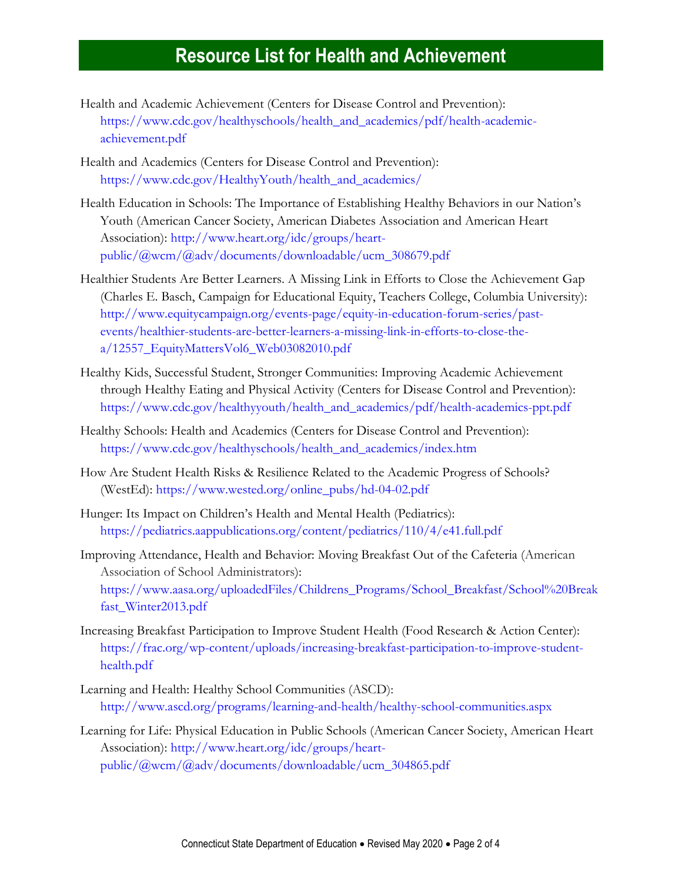- Health and Academic Achievement (Centers for Disease Control and Prevention): [https://www.cdc.gov/healthyschools/health\\_and\\_academics/pdf/health-academic](https://www.cdc.gov/healthyschools/health_and_academics/pdf/health-academic-achievement.pdf)[achievement.pdf](https://www.cdc.gov/healthyschools/health_and_academics/pdf/health-academic-achievement.pdf)
- Health and Academics (Centers for Disease Control and Prevention): [https://www.cdc.gov/HealthyYouth/health\\_and\\_academics/](https://www.cdc.gov/HealthyYouth/health_and_academics/)
- Health Education in Schools: The Importance of Establishing Healthy Behaviors in our Nation's Youth (American Cancer Society, American Diabetes Association and American Heart Association): [http://www.heart.org/idc/groups/heart](http://www.heart.org/idc/groups/heart-public/@wcm/@adv/documents/downloadable/ucm_308679.pdf)[public/@wcm/@adv/documents/downloadable/ucm\\_308679.pdf](http://www.heart.org/idc/groups/heart-public/@wcm/@adv/documents/downloadable/ucm_308679.pdf)
- Healthier Students Are Better Learners. A Missing Link in Efforts to Close the Achievement Gap (Charles E. Basch, Campaign for Educational Equity, Teachers College, Columbia University): [http://www.equitycampaign.org/events-page/equity-in-education-forum-series/past](http://www.equitycampaign.org/events-page/equity-in-education-forum-series/past-events/healthier-students-are-better-learners-a-missing-link-in-efforts-to-close-the-a/12557_EquityMattersVol6_Web03082010.pdf)[events/healthier-students-are-better-learners-a-missing-link-in-efforts-to-close-the](http://www.equitycampaign.org/events-page/equity-in-education-forum-series/past-events/healthier-students-are-better-learners-a-missing-link-in-efforts-to-close-the-a/12557_EquityMattersVol6_Web03082010.pdf)[a/12557\\_EquityMattersVol6\\_Web03082010.pdf](http://www.equitycampaign.org/events-page/equity-in-education-forum-series/past-events/healthier-students-are-better-learners-a-missing-link-in-efforts-to-close-the-a/12557_EquityMattersVol6_Web03082010.pdf)
- Healthy Kids, Successful Student, Stronger Communities: Improving Academic Achievement through Healthy Eating and Physical Activity (Centers for Disease Control and Prevention): [https://www.cdc.gov/healthyyouth/health\\_and\\_academics/pdf/health-academics-ppt.pdf](https://www.cdc.gov/healthyyouth/health_and_academics/pdf/health-academics-ppt.pdf)
- Healthy Schools: Health and Academics (Centers for Disease Control and Prevention): [https://www.cdc.gov/healthyschools/health\\_and\\_academics/index.htm](https://www.cdc.gov/healthyschools/health_and_academics/index.htm)
- How Are Student Health Risks & Resilience Related to the Academic Progress of Schools? (WestEd): [https://www.wested.org/online\\_pubs/hd-04-02.pdf](https://www.wested.org/online_pubs/hd-04-02.pdf)
- Hunger: Its Impact on Children's Health and Mental Health (Pediatrics): <https://pediatrics.aappublications.org/content/pediatrics/110/4/e41.full.pdf>
- Improving Attendance, Health and Behavior: Moving Breakfast Out of the Cafeteria (American Association of School Administrators): [https://www.aasa.org/uploadedFiles/Childrens\\_Programs/School\\_Breakfast/School%20Break](https://www.aasa.org/uploadedFiles/Childrens_Programs/School_Breakfast/School%20Breakfast_Winter2013.pdf) [fast\\_Winter2013.pdf](https://www.aasa.org/uploadedFiles/Childrens_Programs/School_Breakfast/School%20Breakfast_Winter2013.pdf)
- Increasing Breakfast Participation to Improve Student Health (Food Research & Action Center): [https://frac.org/wp-content/uploads/increasing-breakfast-participation-to-improve-student](https://frac.org/wp-content/uploads/increasing-breakfast-participation-to-improve-student-health.pdf)[health.pdf](https://frac.org/wp-content/uploads/increasing-breakfast-participation-to-improve-student-health.pdf)
- Learning and Health: Healthy School Communities (ASCD): <http://www.ascd.org/programs/learning-and-health/healthy-school-communities.aspx>
- Learning for Life: Physical Education in Public Schools (American Cancer Society, American Heart Association): [http://www.heart.org/idc/groups/heart](http://www.heart.org/idc/groups/heart-public/@wcm/@adv/documents/downloadable/ucm_304865.pdf)[public/@wcm/@adv/documents/downloadable/ucm\\_304865.pdf](http://www.heart.org/idc/groups/heart-public/@wcm/@adv/documents/downloadable/ucm_304865.pdf)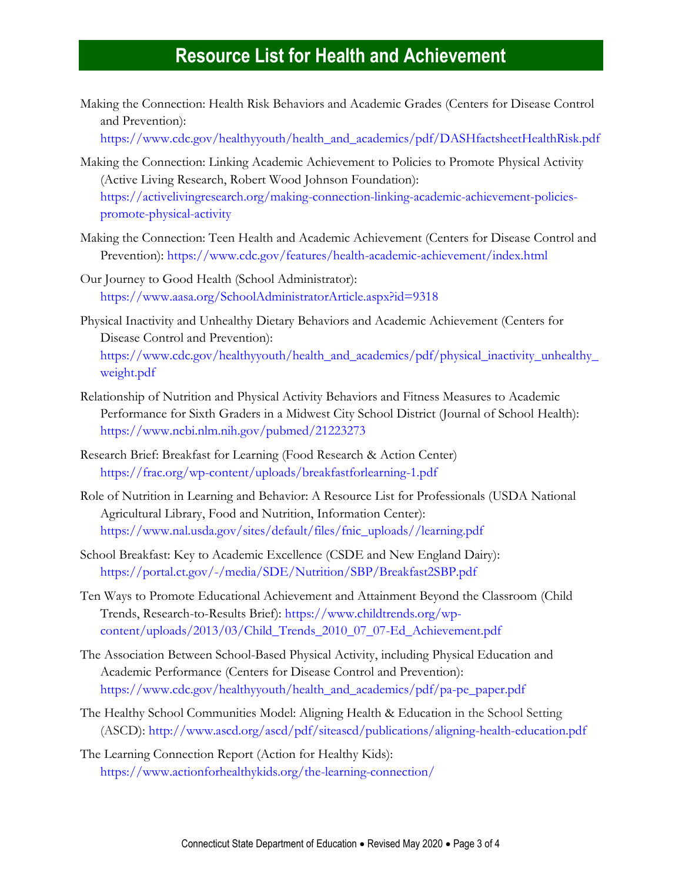Making the Connection: Health Risk Behaviors and Academic Grades (Centers for Disease Control and Prevention):

[https://www.cdc.gov/healthyyouth/health\\_and\\_academics/pdf/DASHfactsheetHealthRisk.pdf](https://www.cdc.gov/healthyyouth/health_and_academics/pdf/DASHfactsheetHealthRisk.pdf)

- Making the Connection: Linking Academic Achievement to Policies to Promote Physical Activity (Active Living Research, Robert Wood Johnson Foundation): [https://activelivingresearch.org/making-connection-linking-academic-achievement-policies](https://activelivingresearch.org/making-connection-linking-academic-achievement-policies-promote-physical-activity)[promote-physical-activity](https://activelivingresearch.org/making-connection-linking-academic-achievement-policies-promote-physical-activity)
- Making the Connection: Teen Health and Academic Achievement (Centers for Disease Control and Prevention): <https://www.cdc.gov/features/health-academic-achievement/index.html>
- Our Journey to Good Health (School Administrator): <https://www.aasa.org/SchoolAdministratorArticle.aspx?id=9318>
- Physical Inactivity and Unhealthy Dietary Behaviors and Academic Achievement (Centers for Disease Control and Prevention): [https://www.cdc.gov/healthyyouth/health\\_and\\_academics/pdf/physical\\_inactivity\\_unhealthy\\_](https://www.cdc.gov/healthyyouth/health_and_academics/pdf/physical_inactivity_unhealthy_weight.pdf) [weight.pdf](https://www.cdc.gov/healthyyouth/health_and_academics/pdf/physical_inactivity_unhealthy_weight.pdf)
- Relationship of Nutrition and Physical Activity Behaviors and Fitness Measures to Academic Performance for Sixth Graders in a Midwest City School District (Journal of School Health): <https://www.ncbi.nlm.nih.gov/pubmed/21223273>
- Research Brief: Breakfast for Learning (Food Research & Action Center) <https://frac.org/wp-content/uploads/breakfastforlearning-1.pdf>
- Role of Nutrition in Learning and Behavior: A Resource List for Professionals (USDA National Agricultural Library, Food and Nutrition, Information Center): [https://www.nal.usda.gov/sites/default/files/fnic\\_uploads//learning.pdf](https://www.nal.usda.gov/sites/default/files/fnic_uploads/learning.pdf)
- School Breakfast: Key to Academic Excellence (CSDE and New England Dairy): <https://portal.ct.gov/-/media/SDE/Nutrition/SBP/Breakfast2SBP.pdf>
- Ten Ways to Promote Educational Achievement and Attainment Beyond the Classroom (Child Trends, Research-to-Results Brief): [https://www.childtrends.org/wp](https://www.childtrends.org/wp-content/uploads/2013/03/Child_Trends_2010_07_07-Ed_Achievement.pdf)[content/uploads/2013/03/Child\\_Trends\\_2010\\_07\\_07-Ed\\_Achievement.pdf](https://www.childtrends.org/wp-content/uploads/2013/03/Child_Trends_2010_07_07-Ed_Achievement.pdf)
- The Association Between School-Based Physical Activity, including Physical Education and Academic Performance (Centers for Disease Control and Prevention): [https://www.cdc.gov/healthyyouth/health\\_and\\_academics/pdf/pa-pe\\_paper.pdf](https://www.cdc.gov/healthyyouth/health_and_academics/pdf/pa-pe_paper.pdf)
- The Healthy School Communities Model: Aligning Health & Education in the School Setting (ASCD): <http://www.ascd.org/ascd/pdf/siteascd/publications/aligning-health-education.pdf>
- The Learning Connection Report (Action for Healthy Kids): <https://www.actionforhealthykids.org/the-learning-connection/>